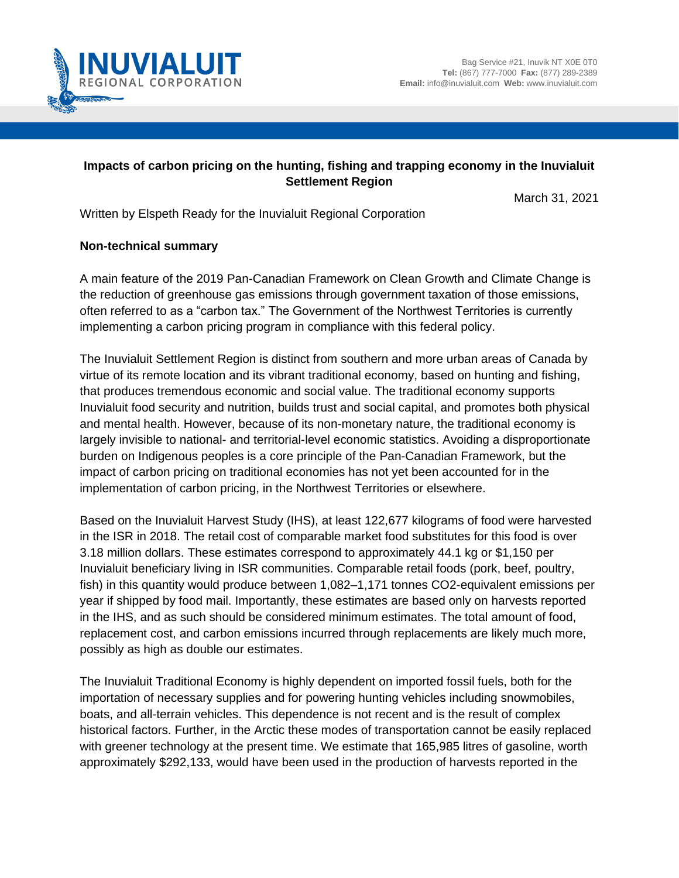

## **Impacts of carbon pricing on the hunting, fishing and trapping economy in the Inuvialuit Settlement Region**

March 31, 2021

Written by Elspeth Ready for the Inuvialuit Regional Corporation

## **Non-technical summary**

A main feature of the 2019 Pan-Canadian Framework on Clean Growth and Climate Change is the reduction of greenhouse gas emissions through government taxation of those emissions, often referred to as a "carbon tax." The Government of the Northwest Territories is currently implementing a carbon pricing program in compliance with this federal policy.

The Inuvialuit Settlement Region is distinct from southern and more urban areas of Canada by virtue of its remote location and its vibrant traditional economy, based on hunting and fishing, that produces tremendous economic and social value. The traditional economy supports Inuvialuit food security and nutrition, builds trust and social capital, and promotes both physical and mental health. However, because of its non-monetary nature, the traditional economy is largely invisible to national- and territorial-level economic statistics. Avoiding a disproportionate burden on Indigenous peoples is a core principle of the Pan-Canadian Framework, but the impact of carbon pricing on traditional economies has not yet been accounted for in the implementation of carbon pricing, in the Northwest Territories or elsewhere.

Based on the Inuvialuit Harvest Study (IHS), at least 122,677 kilograms of food were harvested in the ISR in 2018. The retail cost of comparable market food substitutes for this food is over 3.18 million dollars. These estimates correspond to approximately 44.1 kg or \$1,150 per Inuvialuit beneficiary living in ISR communities. Comparable retail foods (pork, beef, poultry, fish) in this quantity would produce between 1,082–1,171 tonnes CO2-equivalent emissions per year if shipped by food mail. Importantly, these estimates are based only on harvests reported in the IHS, and as such should be considered minimum estimates. The total amount of food, replacement cost, and carbon emissions incurred through replacements are likely much more, possibly as high as double our estimates.

The Inuvialuit Traditional Economy is highly dependent on imported fossil fuels, both for the importation of necessary supplies and for powering hunting vehicles including snowmobiles, boats, and all-terrain vehicles. This dependence is not recent and is the result of complex historical factors. Further, in the Arctic these modes of transportation cannot be easily replaced with greener technology at the present time. We estimate that 165,985 litres of gasoline, worth approximately \$292,133, would have been used in the production of harvests reported in the